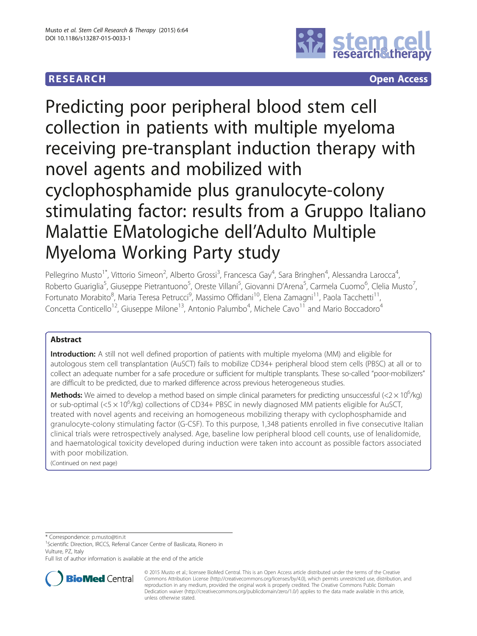# **RESEARCH CHILD CONTROL** CONTROL CONTROL CONTROL CONTROL CONTROL CONTROL CONTROL CONTROL CONTROL CONTROL CONTROL CONTROL CONTROL CONTROL CONTROL CONTROL CONTROL CONTROL CONTROL CONTROL CONTROL CONTROL CONTROL CONTROL CONTR



# Predicting poor peripheral blood stem cell collection in patients with multiple myeloma receiving pre-transplant induction therapy with novel agents and mobilized with cyclophosphamide plus granulocyte-colony stimulating factor: results from a Gruppo Italiano Malattie EMatologiche dell'Adulto Multiple Myeloma Working Party study

Pellegrino Musto<sup>1\*</sup>, Vittorio Simeon<sup>2</sup>, Alberto Grossi<sup>3</sup>, Francesca Gay<sup>4</sup>, Sara Bringhen<sup>4</sup>, Alessandra Larocca<sup>4</sup> , Roberto Guariglia<sup>5</sup>, Giuseppe Pietrantuono<sup>5</sup>, Oreste Villani<sup>5</sup>, Giovanni D'Arena<sup>5</sup>, Carmela Cuomo<sup>6</sup>, Clelia Musto<sup>7</sup> , Fortunato Morabito<sup>8</sup>, Maria Teresa Petrucci<sup>9</sup>, Massimo Offidani<sup>10</sup>, Elena Zamagni<sup>11</sup>, Paola Tacchetti<sup>11</sup>, Concetta Conticello<sup>12</sup>, Giuseppe Milone<sup>13</sup>, Antonio Palumbo<sup>4</sup>, Michele Cavo<sup>11</sup> and Mario Boccadoro<sup>4</sup>

## Abstract

**Introduction:** A still not well defined proportion of patients with multiple myeloma (MM) and eligible for autologous stem cell transplantation (AuSCT) fails to mobilize CD34+ peripheral blood stem cells (PBSC) at all or to collect an adequate number for a safe procedure or sufficient for multiple transplants. These so-called "poor-mobilizers" are difficult to be predicted, due to marked difference across previous heterogeneous studies.

Methods: We aimed to develop a method based on simple clinical parameters for predicting unsuccessful (<2 × 10<sup>6</sup>/kg) or sub-optimal (<5 x 10<sup>6</sup>/kg) collections of CD34+ PBSC in newly diagnosed MM patients eligible for AuSCT, treated with novel agents and receiving an homogeneous mobilizing therapy with cyclophosphamide and granulocyte-colony stimulating factor (G-CSF). To this purpose, 1,348 patients enrolled in five consecutive Italian clinical trials were retrospectively analysed. Age, baseline low peripheral blood cell counts, use of lenalidomide, and haematological toxicity developed during induction were taken into account as possible factors associated with poor mobilization.

(Continued on next page)

\* Correspondence: [p.musto@tin.it](mailto:p.musto@tin.it) <sup>1</sup>

<sup>1</sup> Scientific Direction, IRCCS, Referral Cancer Centre of Basilicata, Rionero in Vulture, PZ, Italy

Full list of author information is available at the end of the article



© 2015 Musto et al.; licensee BioMed Central. This is an Open Access article distributed under the terms of the Creative Commons Attribution License [\(http://creativecommons.org/licenses/by/4.0\)](http://creativecommons.org/licenses/by/4.0), which permits unrestricted use, distribution, and reproduction in any medium, provided the original work is properly credited. The Creative Commons Public Domain Dedication waiver [\(http://creativecommons.org/publicdomain/zero/1.0/](http://creativecommons.org/publicdomain/zero/1.0/)) applies to the data made available in this article, unless otherwise stated.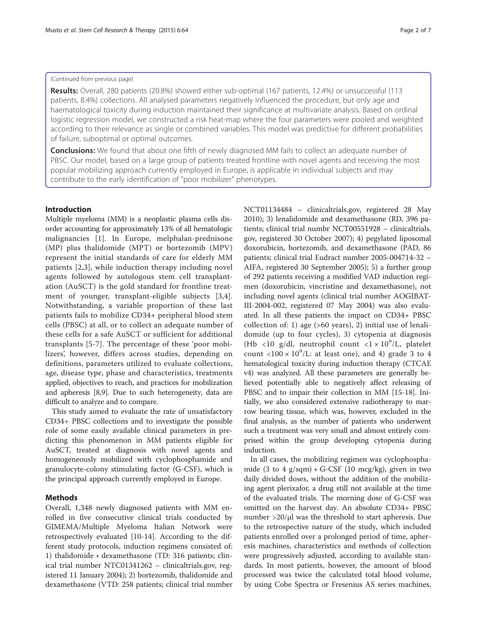#### (Continued from previous page)

Results: Overall, 280 patients (20.8%) showed either sub-optimal (167 patients, 12.4%) or unsuccessful (113 patients, 8.4%) collections. All analysed parameters negatively influenced the procedure, but only age and haematological toxicity during induction maintained their significance at multivariate analysis. Based on ordinal logistic regression model, we constructed a risk heat-map where the four parameters were pooled and weighted according to their relevance as single or combined variables. This model was predictive for different probabilities of failure, suboptimal or optimal outcomes.

**Conclusions:** We found that about one fifth of newly diagnosed MM fails to collect an adequate number of PBSC. Our model, based on a large group of patients treated frontline with novel agents and receiving the most popular mobilizing approach currently employed in Europe, is applicable in individual subjects and may contribute to the early identification of "poor mobilizer" phenotypes.

### Introduction

Multiple myeloma (MM) is a neoplastic plasma cells disorder accounting for approximately 13% of all hematologic malignancies [[1](#page-5-0)]. In Europe, melphalan-prednisone (MP) plus thalidomide (MPT) or bortezomib (MPV) represent the initial standards of care for elderly MM patients [[2](#page-5-0),[3\]](#page-5-0), while induction therapy including novel agents followed by autologous stem cell transplantation (AuSCT) is the gold standard for frontline treatment of younger, transplant-eligible subjects [[3,4](#page-5-0)]. Notwithstanding, a variable proportion of these last patients fails to mobilize CD34+ peripheral blood stem cells (PBSC) at all, or to collect an adequate number of these cells for a safe AuSCT or sufficient for additional transplants [[5-7](#page-5-0)]. The percentage of these 'poor mobilizers', however, differs across studies, depending on definitions, parameters utilized to evaluate collections, age, disease type, phase and characteristics, treatments applied, objectives to reach, and practices for mobilization and apheresis [[8,9](#page-5-0)]. Due to such heterogeneity, data are difficult to analyze and to compare.

This study aimed to evaluate the rate of unsatisfactory CD34+ PBSC collections and to investigate the possible role of some easily available clinical parameters in predicting this phenomenon in MM patients eligible for AuSCT, treated at diagnosis with novel agents and homogeneously mobilized with cyclophosphamide and granulocyte-colony stimulating factor (G-CSF), which is the principal approach currently employed in Europe.

#### Methods

Overall, 1,348 newly diagnosed patients with MM enrolled in five consecutive clinical trials conducted by GIMEMA/Multiple Myeloma Italian Network were retrospectively evaluated [[10](#page-5-0)[-14\]](#page-6-0). According to the different study protocols, induction regimens consisted of: 1) thalidomide + dexamethasone (TD: 316 patients; clinical trial number NTC01341262 – clinicaltrials.gov, registered 11 January 2004); 2) bortezomib, thalidomide and dexamethasone (VTD: 258 patients; clinical trial number NCT01134484 – clinicaltrials.gov, registered 28 May 2010); 3) lenalidomide and dexamethasone (RD, 396 patients; clinical trial numbr NCT00551928 – clinicaltrials. gov, registered 30 October 2007); 4) pegylated liposomal doxorubicin, bortezomib, and dexamethasone (PAD, 86 patients; clinical trial Eudract number 2005-004714-32 – AIFA, registered 30 September 2005); 5) a further group of 292 patients receiving a modified VAD induction regimen (doxorubicin, vincristine and dexamethasone), not including novel agents (clinical trial number AOGIBAT-III-2004-002, registered 07 May 2004) was also evaluated. In all these patients the impact on CD34+ PBSC collection of: 1) age (>60 years), 2) initial use of lenalidomide (up to four cycles), 3) cytopenia at diagnosis (Hb <10 g/dl, neutrophil count <1  $\times$  10<sup>9</sup>/L, platelet count <100  $\times$  10<sup>9</sup>/L: at least one), and 4) grade 3 to 4 hematological toxicity during induction therapy (CTCAE v4) was analyzed. All these parameters are generally believed potentially able to negatively affect releasing of PBSC and to impair their collection in MM [\[15](#page-6-0)-[18](#page-6-0)]. Initially, we also considered extensive radiotherapy to marrow bearing tissue, which was, however, excluded in the final analysis, as the number of patients who underwent such a treatment was very small and almost entirely comprised within the group developing cytopenia during induction.

In all cases, the mobilizing regimen was cyclophosphamide (3 to 4 g/sqm) + G-CSF (10 mcg/kg), given in two daily divided doses, without the addition of the mobilizing agent plerixafor, a drug still not available at the time of the evaluated trials. The morning dose of G-CSF was omitted on the harvest day. An absolute CD34+ PBSC number >20/μl was the threshold to start apheresis. Due to the retrospective nature of the study, which included patients enrolled over a prolonged period of time, apheresis machines, characteristics and methods of collection were progressively adjusted, according to available standards. In most patients, however, the amount of blood processed was twice the calculated total blood volume, by using Cobe Spectra or Fresenius AS series machines,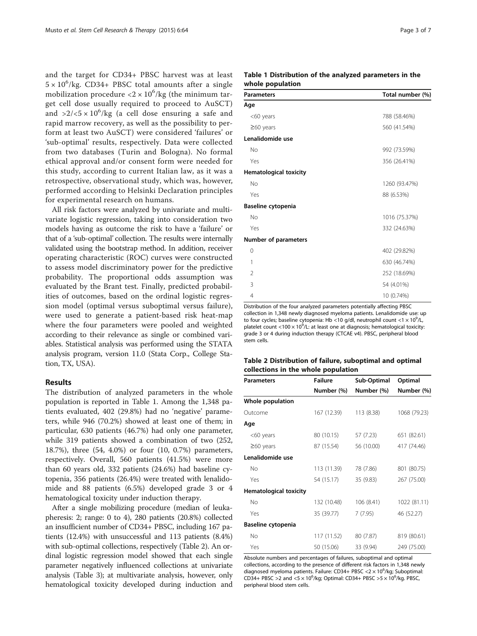and the target for CD34+ PBSC harvest was at least  $5 \times 10^6$ /kg. CD34+ PBSC total amounts after a single mobilization procedure <2  $\times$  10<sup>6</sup>/kg (the minimum target cell dose usually required to proceed to AuSCT) and >2/<5  $\times$  10<sup>6</sup>/kg (a cell dose ensuring a safe and rapid marrow recovery, as well as the possibility to perform at least two AuSCT) were considered 'failures' or 'sub-optimal' results, respectively. Data were collected from two databases (Turin and Bologna). No formal ethical approval and/or consent form were needed for this study, according to current Italian law, as it was a retrospective, observational study, which was, however, performed according to Helsinki Declaration principles for experimental research on humans.

All risk factors were analyzed by univariate and multivariate logistic regression, taking into consideration two models having as outcome the risk to have a 'failure' or that of a 'sub-optimal' collection. The results were internally validated using the bootstrap method. In addition, receiver operating characteristic (ROC) curves were constructed to assess model discriminatory power for the predictive probability. The proportional odds assumption was evaluated by the Brant test. Finally, predicted probabilities of outcomes, based on the ordinal logistic regression model (optimal versus suboptimal versus failure), were used to generate a patient-based risk heat-map where the four parameters were pooled and weighted according to their relevance as single or combined variables. Statistical analysis was performed using the STATA analysis program, version 11.0 (Stata Corp., College Station, TX, USA).

## Results

The distribution of analyzed parameters in the whole population is reported in Table 1. Among the 1,348 patients evaluated, 402 (29.8%) had no 'negative' parameters, while 946 (70.2%) showed at least one of them; in particular, 630 patients (46.7%) had only one parameter, while 319 patients showed a combination of two (252, 18.7%), three (54, 4.0%) or four (10, 0.7%) parameters, respectively. Overall, 560 patients (41.5%) were more than 60 years old, 332 patients (24.6%) had baseline cytopenia, 356 patients (26.4%) were treated with lenalidomide and 88 patients (6.5%) developed grade 3 or 4 hematological toxicity under induction therapy.

After a single mobilizing procedure (median of leukapheresis: 2; range: 0 to 4), 280 patients (20.8%) collected an insufficient number of CD34+ PBSC, including 167 patients (12.4%) with unsuccessful and 113 patients (8.4%) with sub-optimal collections, respectively (Table 2). An ordinal logistic regression model showed that each single parameter negatively influenced collections at univariate analysis (Table [3](#page-3-0)); at multivariate analysis, however, only hematological toxicity developed during induction and

| Table 1 Distribution of the analyzed parameters in the |  |  |
|--------------------------------------------------------|--|--|
| whole population                                       |  |  |

| <b>Parameters</b>             | Total number (%) |  |  |
|-------------------------------|------------------|--|--|
| Age                           |                  |  |  |
| <60 years                     | 788 (58.46%)     |  |  |
| $\geq$ 60 years               | 560 (41.54%)     |  |  |
| Lenalidomide use              |                  |  |  |
| No                            | 992 (73.59%)     |  |  |
| Yes                           | 356 (26.41%)     |  |  |
| <b>Hematological toxicity</b> |                  |  |  |
| No                            | 1260 (93.47%)    |  |  |
| Yes                           | 88 (6.53%)       |  |  |
| Baseline cytopenia            |                  |  |  |
| No                            | 1016 (75.37%)    |  |  |
| Yes                           | 332 (24.63%)     |  |  |
| Number of parameters          |                  |  |  |
| $\Omega$                      | 402 (29.82%)     |  |  |
| 1                             | 630 (46.74%)     |  |  |
| $\mathfrak{D}$                | 252 (18.69%)     |  |  |
| 3                             | 54 (4.01%)       |  |  |
| 4                             | 10 (0.74%)       |  |  |

Distribution of the four analyzed parameters potentially affecting PBSC collection in 1,348 newly diagnosed myeloma patients. Lenalidomide use: up to four cycles; baseline cytopenia: Hb <10 g/dl, neutrophil count <1  $\times$  10 $^9$ /L platelet count <100  $\times$  10<sup>9</sup>/L: at least one at diagnosis; hematological toxicity: grade 3 or 4 during induction therapy (CTCAE v4). PBSC, peripheral blood stem cells.

## Table 2 Distribution of failure, suboptimal and optimal collections in the whole population

| <b>Parameters</b>             | <b>Failure</b> | Sub-Optimal | Optimal      |
|-------------------------------|----------------|-------------|--------------|
|                               | Number (%)     | Number (%)  | Number (%)   |
| Whole population              |                |             |              |
| Outcome                       | 167 (12.39)    | 113 (8.38)  | 1068 (79.23) |
| Age                           |                |             |              |
| <60 years                     | 80 (10.15)     | 57 (7.23)   | 651 (82.61)  |
| $\geq$ 60 years               | 87 (15.54)     | 56 (10.00)  | 417 (74.46)  |
| Lenalidomide use              |                |             |              |
| <b>No</b>                     | 113 (11.39)    | 78 (7.86)   | 801 (80.75)  |
| Yes                           | 54 (15.17)     | 35 (9.83)   | 267 (75.00)  |
| <b>Hematological toxicity</b> |                |             |              |
| No                            | 132 (10.48)    | 106 (8.41)  | 1022 (81.11) |
| Yes                           | 35 (39.77)     | 7(7.95)     | 46 (52.27)   |
| Baseline cytopenia            |                |             |              |
| No                            | 117 (11.52)    | 80 (7.87)   | 819 (80.61)  |
| Yes                           | 50 (15.06)     | 33 (9.94)   | 249 (75.00)  |

Absolute numbers and percentages of failures, suboptimal and optimal collections, according to the presence of different risk factors in 1,348 newly diagnosed myeloma patients. Failure: CD34+ PBSC <2 × 10<sup>6</sup>/kg; Suboptimal: CD34+ PBSC >2 and <5  $\times$  10<sup>6</sup>/kg; Optimal: CD34+ PBSC >5  $\times$  10<sup>6</sup>/kg. PBSC, peripheral blood stem cells.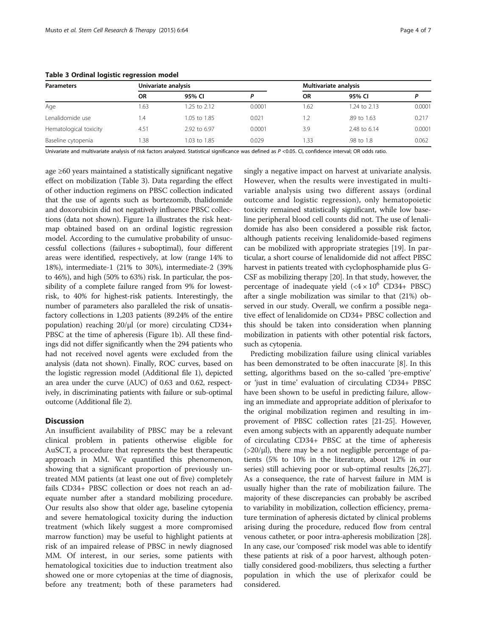| <b>Parameters</b>      | Univariate analysis |              |        |           | Multivariate analysis |        |
|------------------------|---------------------|--------------|--------|-----------|-----------------------|--------|
|                        | <b>OR</b>           | 95% CI       | P      | <b>OR</b> | 95% CI                | D      |
| Age                    | 1.63                | 1.25 to 2.12 | 0.0001 | 1.62      | 1.24 to 2.13          | 0.0001 |
| Lenalidomide use       | 1.4                 | 1.05 to 1.85 | 0.021  |           | $.89$ to $1.63$       | 0.217  |
| Hematological toxicity | 4.51                | 2.92 to 6.97 | 0.0001 | 3.9       | 2.48 to 6.14          | 0.0001 |
| Baseline cytopenia     | .38                 | 1.03 to 1.85 | 0.029  | 1.33      | $.98$ to $1.8$        | 0.062  |

<span id="page-3-0"></span>Table 3 Ordinal logistic regression model

Univariate and multivariate analysis of risk factors analyzed. Statistical significance was defined as P <0.05. CI, confidence interval; OR odds ratio.

age ≥60 years maintained a statistically significant negative effect on mobilization (Table 3). Data regarding the effect of other induction regimens on PBSC collection indicated that the use of agents such as bortezomib, thalidomide and doxorubicin did not negatively influence PBSC collections (data not shown). Figure [1](#page-4-0)a illustrates the risk heatmap obtained based on an ordinal logistic regression model. According to the cumulative probability of unsuccessful collections (failures + suboptimal), four different areas were identified, respectively, at low (range 14% to 18%), intermediate-1 (21% to 30%), intermediate-2 (39% to 46%), and high (50% to 63%) risk. In particular, the possibility of a complete failure ranged from 9% for lowestrisk, to 40% for highest-risk patients. Interestingly, the number of parameters also paralleled the risk of unsatisfactory collections in 1,203 patients (89.24% of the entire population) reaching 20/μl (or more) circulating CD34+ PBSC at the time of apheresis (Figure [1b](#page-4-0)). All these findings did not differ significantly when the 294 patients who had not received novel agents were excluded from the analysis (data not shown). Finally, ROC curves, based on the logistic regression model (Additional file [1\)](#page-5-0), depicted an area under the curve (AUC) of 0.63 and 0.62, respectively, in discriminating patients with failure or sub-optimal outcome (Additional file [2\)](#page-5-0).

#### **Discussion**

An insufficient availability of PBSC may be a relevant clinical problem in patients otherwise eligible for AuSCT, a procedure that represents the best therapeutic approach in MM. We quantified this phenomenon, showing that a significant proportion of previously untreated MM patients (at least one out of five) completely fails CD34+ PBSC collection or does not reach an adequate number after a standard mobilizing procedure. Our results also show that older age, baseline cytopenia and severe hematological toxicity during the induction treatment (which likely suggest a more compromised marrow function) may be useful to highlight patients at risk of an impaired release of PBSC in newly diagnosed MM. Of interest, in our series, some patients with hematological toxicities due to induction treatment also showed one or more cytopenias at the time of diagnosis, before any treatment; both of these parameters had

singly a negative impact on harvest at univariate analysis. However, when the results were investigated in multivariable analysis using two different assays (ordinal outcome and logistic regression), only hematopoietic toxicity remained statistically significant, while low baseline peripheral blood cell counts did not. The use of lenalidomide has also been considered a possible risk factor, although patients receiving lenalidomide-based regimens can be mobilized with appropriate strategies [[19\]](#page-6-0). In particular, a short course of lenalidomide did not affect PBSC harvest in patients treated with cyclophosphamide plus G-CSF as mobilizing therapy [\[20\]](#page-6-0). In that study, however, the percentage of inadequate yield  $( $4 \times 10^6$  CD34+ PBSC)$ after a single mobilization was similar to that (21%) observed in our study. Overall, we confirm a possible negative effect of lenalidomide on CD34+ PBSC collection and this should be taken into consideration when planning mobilization in patients with other potential risk factors, such as cytopenia.

Predicting mobilization failure using clinical variables has been demonstrated to be often inaccurate [[8\]](#page-5-0). In this setting, algorithms based on the so-called 'pre-emptive' or 'just in time' evaluation of circulating CD34+ PBSC have been shown to be useful in predicting failure, allowing an immediate and appropriate addition of plerixafor to the original mobilization regimen and resulting in improvement of PBSC collection rates [[21](#page-6-0)-[25](#page-6-0)]. However, even among subjects with an apparently adequate number of circulating CD34+ PBSC at the time of apheresis  $(>20/\mu l)$ , there may be a not negligible percentage of patients (5% to 10% in the literature, about 12% in our series) still achieving poor or sub-optimal results [\[26,27](#page-6-0)]. As a consequence, the rate of harvest failure in MM is usually higher than the rate of mobilization failure. The majority of these discrepancies can probably be ascribed to variability in mobilization, collection efficiency, premature termination of apheresis dictated by clinical problems arising during the procedure, reduced flow from central venous catheter, or poor intra-apheresis mobilization [[28](#page-6-0)]. In any case, our 'composed' risk model was able to identify these patients at risk of a poor harvest, although potentially considered good-mobilizers, thus selecting a further population in which the use of plerixafor could be considered.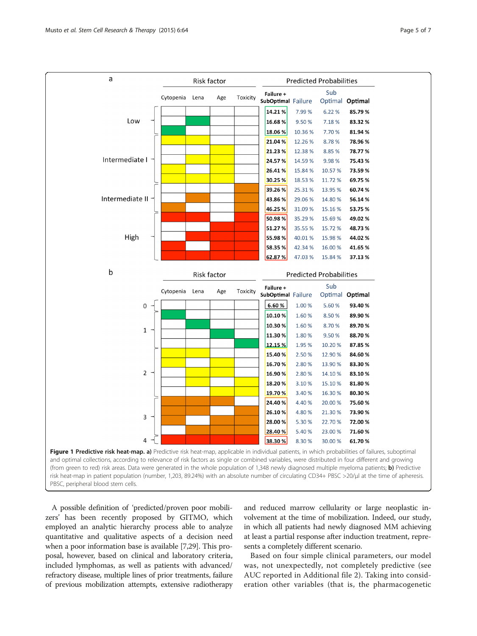<span id="page-4-0"></span>

PBSC, peripheral blood stem cells.

A possible definition of 'predicted/proven poor mobilizers' has been recently proposed by GITMO, which employed an analytic hierarchy process able to analyze quantitative and qualitative aspects of a decision need when a poor information base is available [\[7](#page-5-0)[,29\]](#page-6-0). This proposal, however, based on clinical and laboratory criteria, included lymphomas, as well as patients with advanced/ refractory disease, multiple lines of prior treatments, failure of previous mobilization attempts, extensive radiotherapy and reduced marrow cellularity or large neoplastic involvement at the time of mobilization. Indeed, our study, in which all patients had newly diagnosed MM achieving at least a partial response after induction treatment, represents a completely different scenario.

Based on four simple clinical parameters, our model was, not unexpectedly, not completely predictive (see AUC reported in Additional file [2\)](#page-5-0). Taking into consideration other variables (that is, the pharmacogenetic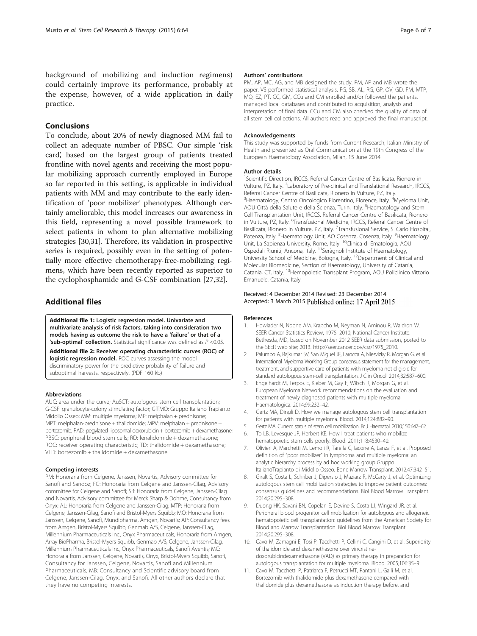<span id="page-5-0"></span>background of mobilizing and induction regimens) could certainly improve its performance, probably at the expense, however, of a wide application in daily practice.

## Conclusions

To conclude, about 20% of newly diagnosed MM fail to collect an adequate number of PBSC. Our simple 'risk card', based on the largest group of patients treated frontline with novel agents and receiving the most popular mobilizing approach currently employed in Europe so far reported in this setting, is applicable in individual patients with MM and may contribute to the early identification of 'poor mobilizer' phenotypes. Although certainly ameliorable, this model increases our awareness in this field, representing a novel possible framework to select patients in whom to plan alternative mobilizing strategies [\[30,31\]](#page-6-0). Therefore, its validation in prospective series is required, possibly even in the setting of potentially more effective chemotherapy-free-mobilizing regimens, which have been recently reported as superior to the cyclophosphamide and G-CSF combination [[27,32\]](#page-6-0).

## Additional files

[Additional file 1:](http://stemcellres.com/content/supplementary/s13287-015-0033-1-s1.pdf) Logistic regression model. Univariate and multivariate analysis of risk factors, taking into consideration two models having as outcome the risk to have a 'failure' or that of a 'sub-optimal' collection. Statistical significance was defined as  $P < 0.05$ .

[Additional file 2:](http://stemcellres.com/content/supplementary/s13287-015-0033-1-s2.pdf) Receiver operating characteristic curves (ROC) of logistic regression model. ROC curves assessing the model discriminatory power for the predictive probability of failure and suboptimal harvests, respectively. (PDF 160 kb)

#### Abbreviations

AUC: area under the curve; AuSCT: autologous stem cell transplantation; G-CSF: granulocyte-colony stimulating factor; GITMO: Gruppo Italiano Trapianto Midollo Osseo; MM: multiple myeloma; MP: melphalan + prednisone; MPT: melphalan-prednisone + thalidomide; MPV: melphalan + prednisone + bortezomib; PAD: pegylated liposomal doxorubicin + bortezomib + dexamethasone; PBSC: peripheral blood stem cells; RD: lenalidomide + dexamethasone; ROC: receiver operating characteristic; TD: thalidomide + dexamethasone; VTD: bortezomib + thalidomide + dexamethasone.

#### Competing interests

PM: Honoraria from Celgene, Janssen, Novartis, Advisory committee for Sanofi and Sandoz; FG: Honoraria from Celgene and Janssen-Cilag, Advisory committee for Celgene and Sanofi; SB: Honoraria from Celgene, Janssen-Cilag and Novartis, Advisory committee for Merck Sharp & Dohme, Consultancy from Onyx; AL: Honoraria from Celgene and Janssen-Cilag; MTP: Honoraria from Celgene, Janssen-Cilag, Sanofi and Bristol-Myers Squibb; MO: Honoraria from Janssen, Celgene, Sanofi, Mundipharma, Amgen, Novartis; AP: Consultancy fees from Amgen, Bristol-Myers Squibb, Genmab A/S, Celgene, Janssen-Cilag, Millennium Pharmaceuticals Inc., Onyx Pharmaceuticals, Honoraria from Amgen, Array BioPharma, Bristol-Myers Squibb, Genmab A/S, Celgene, Janssen-Cilag, Millennium Pharmaceuticals Inc, Onyx Pharmaceuticals, Sanofi Aventis; MC: Honoraria from Janssen, Celgene, Novartis, Onyx, Bristol-Myers Squibb, Sanofi, Consultancy for Janssen, Celgene, Novartis, Sanofi and Millennium Pharmaceuticals; MB: Consultancy and Scientific advisory board from Celgene, Janssen-Cilag, Onyx, and Sanofi. All other authors declare that they have no competing interests.

#### Authors' contributions

PM, AP, MC, AG, and MB designed the study. PM, AP and MB wrote the paper. VS performed statistical analysis. FG, SB, AL, RG, GP, OV, GD, FM, MTP, MO, EZ, PT, CC, GM, CCu and CM enrolled and/or followed the patients, managed local databases and contributed to acquisition, analysis and interpretation of final data. CCu and CM also checked the quality of data of all stem cell collections. All authors read and approved the final manuscript.

#### Acknowledgements

This study was supported by funds from Current Research, Italian Ministry of Health and presented as Oral Communication at the 19th Congress of the European Haematology Association, Milan, 15 June 2014.

#### Author details

<sup>1</sup>Scientific Direction, IRCCS, Referral Cancer Centre of Basilicata, Rionero in Vulture, PZ, Italy. <sup>2</sup> Laboratory of Pre-clinical and Translational Research, IRCCS Referral Cancer Centre of Basilicata, Rionero in Vulture, PZ, Italy. <sup>3</sup> Haematology, Centro Oncologico Fiorentino, Florence, Italy. <sup>4</sup> Myeloma Unit AOU Città della Salute e della Scienza, Turin, Italy. <sup>5</sup>Haematology and Stem Cell Transplantation Unit, IRCCS, Referral Cancer Centre of Basilicata, Rionero in Vulture, PZ, Italy. <sup>6</sup>Transfusional Medicine, IRCCS, Referral Cancer Centre of Basilicata, Rionero in Vulture, PZ, Italy. <sup>7</sup> Transfusional Service, S. Carlo Hospital, Potenza, Italy. <sup>8</sup>Haematology Unit, AO Cosenza, Cosenza, Italy. <sup>9</sup>Haematology Unit, La Sapienza University, Rome, Italy. 10Clinica di Ematologia, AOU Ospedali Riuniti, Ancona, Italy. 11Seràgnoli Institute of Haematology, University School of Medicine, Bologna, Italy. <sup>12</sup>Department of Clinical and Molecular Biomedicine, Section of Haematology, University of Catania, Catania, CT, Italy. <sup>13</sup>Hemopoietic Transplant Program, AOU Policlinico Vittorio Emanuele, Catania, Italy.

#### Received: 4 December 2014 Revised: 23 December 2014 Accepted: 3 March 2015 Published online: 17 April 2015

#### References

- 1. Howlader N, Noone AM, Krapcho M, Neyman N, Aminou R, Waldron W. SEER Cancer Statistics Review, 1975–2010, National Cancer Institute. Bethesda, MD, based on November 2012 SEER data submission, posted to the SEER web site; 2013. [http://seer.cancer.gov/csr/1975\\_2010](http://seer.cancer.gov/csr/1975_2010).
- 2. Palumbo A, Rajkumar SV, San Miguel JF, Larocca A, Niesvizky R, Morgan G, et al. International Myeloma Working Group consensus statement for the management, treatment, and supportive care of patients with myeloma not eligible for standard autologous stem-cell transplantation. J Clin Oncol. 2014;32:587–600.
- 3. Engelhardt M, Terpos E, Kleber M, Gay F, Wäsch R, Morgan G, et al. European Myeloma Network recommendations on the evaluation and treatment of newly diagnosed patients with multiple myeloma. Haematologica. 2014;99:232–42.
- 4. Gertz MA, Dingli D. How we manage autologous stem cell transplantation for patients with multiple myeloma. Blood. 2014;124:882–90.
- 5. Gertz MA. Current status of stem cell mobilization. Br J Haematol. 2010;150:647–62.
- 6. To LB, Levesque JP, Herbert KE. How I treat patients who mobilize hematopoietic stem cells poorly. Blood. 2011;118:4530–40.
- 7. Olivieri A, Marchetti M, Lemoli R, Tarella C, Iacone A, Lanza F, et al. Proposed definition of "poor mobilizer" in lymphoma and multiple myeloma: an analytic hierarchy process by ad hoc working group Gruppo ItalianoTrapianto di Midollo Osseo. Bone Marrow Transplant. 2012;47:342–51.
- 8. Giralt S, Costa L, Schriber J, Dipersio J, Maziarz R, McCarty J, et al. Optimizing autologous stem cell mobilization strategies to improve patient outcomes: consensus guidelines and recommendations. Biol Blood Marrow Transplant. 2014;20:295–308.
- 9. Duong HK, Savani BN, Copelan E, Devine S, Costa LJ, Wingard JR, et al. Peripheral blood progenitor cell mobilization for autologous and allogeneic hematopoietic cell transplantation: guidelines from the American Society for Blood and Marrow Transplantation. Biol Blood Marrow Transplant. 2014;20:295–308.
- 10. Cavo M, Zamagni E, Tosi P, Tacchetti P, Cellini C, Cangini D, et al. Superiority of thalidomide and dexamethasone over vincristinedoxorubicindexamethasone (VAD) as primary therapy in preparation for autologous transplantation for multiple myeloma. Blood. 2005;106:35–9.
- 11. Cavo M, Tacchetti P, Patriarca F, Petrucci MT, Pantani L, Galli M, et al. Bortezomib with thalidomide plus dexamethasone compared with thalidomide plus dexamethasone as induction therapy before, and